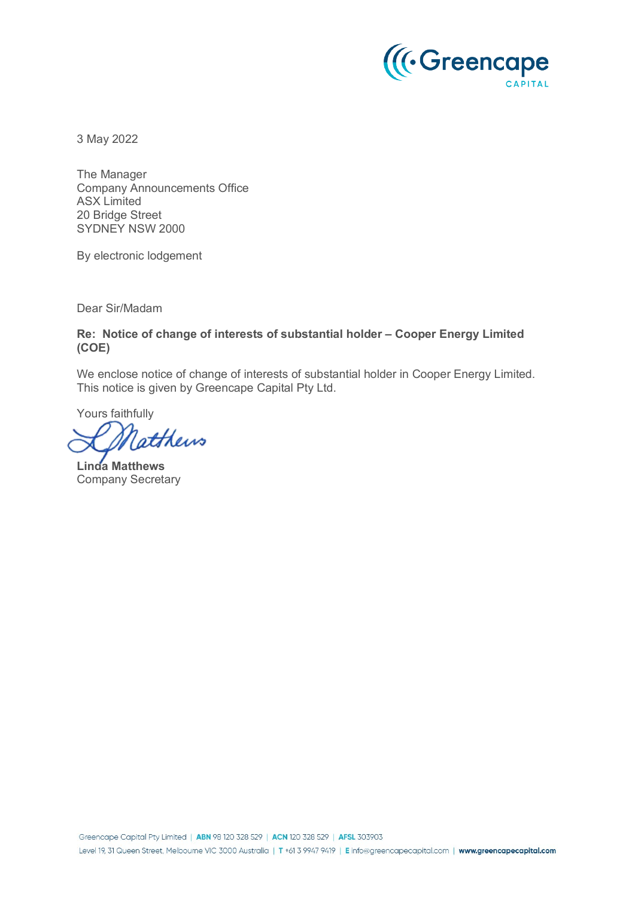

3 May 2022

The Manager Company Announcements Office ASX Limited 20 Bridge Street SYDNEY NSW 2000

By electronic lodgement

Dear Sir/Madam

**Re: Notice of change of interests of substantial holder – Cooper Energy Limited (COE)** 

We enclose notice of change of interests of substantial holder in Cooper Energy Limited. This notice is given by Greencape Capital Pty Ltd.

Yours faithfully

ratthews

**Linda Matthews** Company Secretary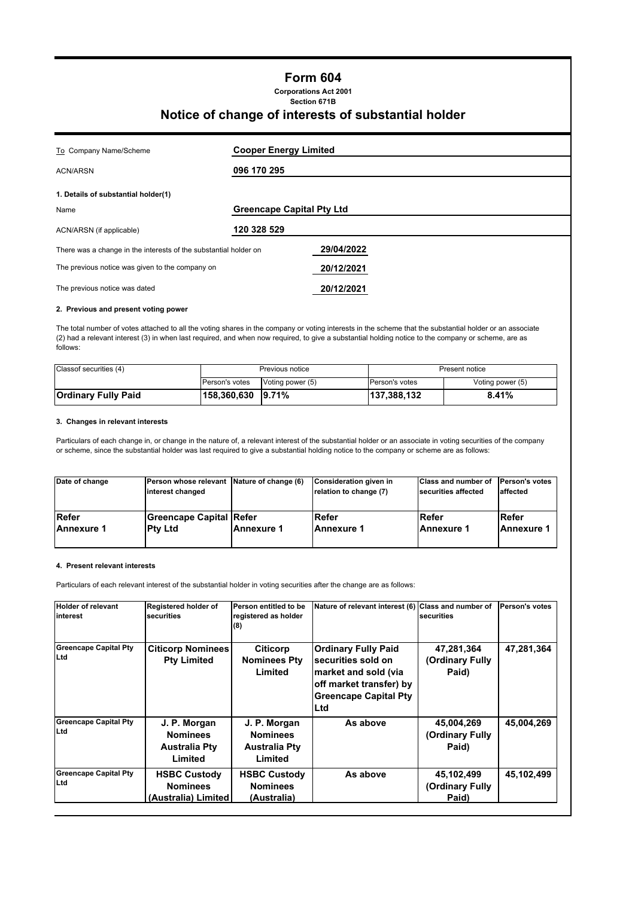# **Form 604**

**Corporations Act 2001 Section 671B**

## **Notice of change of interests of substantial holder**

| To Company Name/Scheme                                                         | <b>Cooper Energy Limited</b>     |  |  |  |
|--------------------------------------------------------------------------------|----------------------------------|--|--|--|
| <b>ACN/ARSN</b>                                                                | 096 170 295                      |  |  |  |
| 1. Details of substantial holder(1)                                            |                                  |  |  |  |
| Name                                                                           | <b>Greencape Capital Pty Ltd</b> |  |  |  |
| ACN/ARSN (if applicable)                                                       | 120 328 529                      |  |  |  |
| 29/04/2022<br>There was a change in the interests of the substantial holder on |                                  |  |  |  |
| The previous notice was given to the company on                                | 20/12/2021                       |  |  |  |
| The previous notice was dated                                                  | 20/12/2021                       |  |  |  |

## **2. Previous and present voting power**

The total number of votes attached to all the voting shares in the company or voting interests in the scheme that the substantial holder or an associate (2) had a relevant interest (3) in when last required, and when now required, to give a substantial holding notice to the company or scheme, are as follows:

| Classof securities (4)     | Previous notice   |                  | Present notice |                  |
|----------------------------|-------------------|------------------|----------------|------------------|
|                            | Person's votes    | Voting power (5) | Person's votes | Voting power (5) |
| <b>Ordinary Fully Paid</b> | 158,360,630 9.71% |                  | 137.388.132    | 8.41%            |

### **3. Changes in relevant interests**

Particulars of each change in, or change in the nature of, a relevant interest of the substantial holder or an associate in voting securities of the company or scheme, since the substantial holder was last required to give a substantial holding notice to the company or scheme are as follows:

| Date of change | Person whose relevant Nature of change (6)<br>interest changed |                   | Consideration given in<br>relation to change (7) | <b>Class and number of</b><br>securities affected | <b>Person's votes</b><br>affected |
|----------------|----------------------------------------------------------------|-------------------|--------------------------------------------------|---------------------------------------------------|-----------------------------------|
| <b>IRefer</b>  | <b>Greencape Capital Refer</b>                                 |                   | Refer                                            | Refer                                             | Refer                             |
| Annexure 1     | <b>Ptv Ltd</b>                                                 | <b>Annexure 1</b> | lAnnexure 1                                      | <b>Annexure 1</b>                                 | <b>Annexure 1</b>                 |

## **4. Present relevant interests**

Particulars of each relevant interest of the substantial holder in voting securities after the change are as follows:

| <b>Holder of relevant</b><br>linterest | Registered holder of<br>securities                                 | Person entitled to be<br>registered as holder<br>(8)               | Nature of relevant interest (6) Class and number of                                                                                        | securities                             | <b>Person's votes</b> |
|----------------------------------------|--------------------------------------------------------------------|--------------------------------------------------------------------|--------------------------------------------------------------------------------------------------------------------------------------------|----------------------------------------|-----------------------|
| <b>Greencape Capital Pty</b><br>Ltd    | <b>Citicorp Nominees</b><br><b>Pty Limited</b>                     | <b>Citicorp</b><br><b>Nominees Pty</b><br>Limited                  | <b>Ordinary Fully Paid</b><br>securities sold on<br>market and sold (via<br>off market transfer) by<br><b>Greencape Capital Pty</b><br>Ltd | 47,281,364<br>(Ordinary Fully<br>Paid) | 47,281,364            |
| <b>Greencape Capital Pty</b><br>Ltd    | J. P. Morgan<br><b>Nominees</b><br><b>Australia Pty</b><br>Limited | J. P. Morgan<br><b>Nominees</b><br><b>Australia Pty</b><br>Limited | As above                                                                                                                                   | 45,004,269<br>(Ordinary Fully<br>Paid) | 45,004,269            |
| <b>Greencape Capital Pty</b><br>Ltd    | <b>HSBC Custody</b><br><b>Nominees</b><br>(Australia) Limited      | <b>HSBC Custody</b><br><b>Nominees</b><br>(Australia)              | As above                                                                                                                                   | 45,102,499<br>(Ordinary Fully<br>Paid) | 45,102,499            |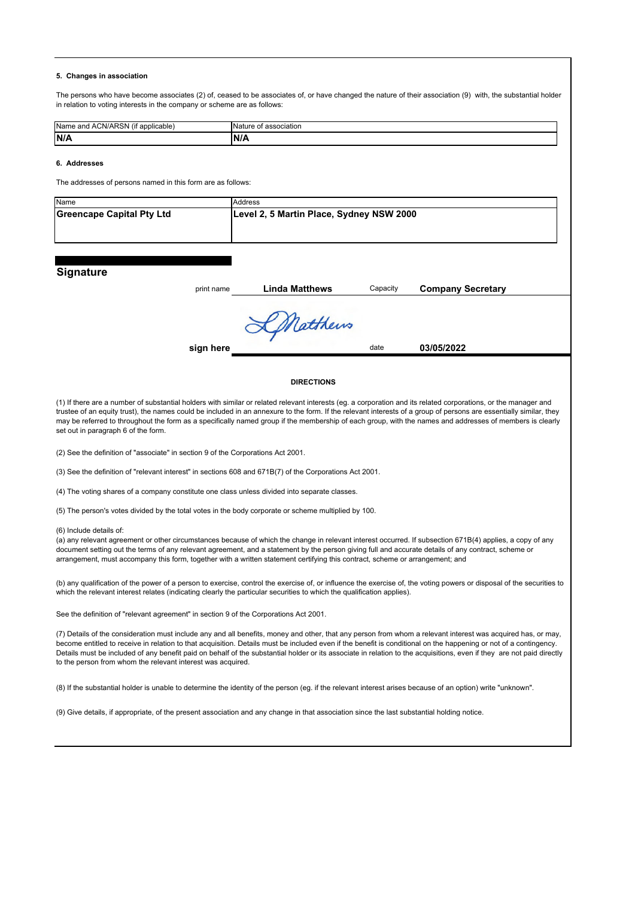#### **5. Changes in association**

The persons who have become associates (2) of, ceased to be associates of, or have changed the nature of their association (9) with, the substantial holder in relation to voting interests in the company or scheme are as follows:

| $\cdots$<br>$\sim$<br>$-\sim$<br>Name<br>ACN/AF<br>applicable:<br>∗and<br>ARSN | association          |
|--------------------------------------------------------------------------------|----------------------|
| N/A                                                                            | ۰.<br>$\blacksquare$ |

#### **6. Addresses**

The addresses of persons named in this form are as follows:

| Address                                                                      |  |
|------------------------------------------------------------------------------|--|
| <b>Greencape Capital Pty Ltd</b><br>Level 2, 5 Martin Place, Sydney NSW 2000 |  |
|                                                                              |  |
|                                                                              |  |
|                                                                              |  |

## **Signature**

| print name | <b>Linda Matthews</b> | Capacity | <b>Company Secretary</b> |  |
|------------|-----------------------|----------|--------------------------|--|
|            |                       |          |                          |  |
|            | KMatthews             |          |                          |  |
| sign here  |                       | date     | 03/05/2022               |  |

### **DIRECTIONS**

(1) If there are a number of substantial holders with similar or related relevant interests (eg. a corporation and its related corporations, or the manager and trustee of an equity trust), the names could be included in an annexure to the form. If the relevant interests of a group of persons are essentially similar, they may be referred to throughout the form as a specifically named group if the membership of each group, with the names and addresses of members is clearly set out in paragraph 6 of the form.

(2) See the definition of "associate" in section 9 of the Corporations Act 2001.

(3) See the definition of "relevant interest" in sections 608 and 671B(7) of the Corporations Act 2001.

(4) The voting shares of a company constitute one class unless divided into separate classes.

(5) The person's votes divided by the total votes in the body corporate or scheme multiplied by 100.

(6) Include details of:

(a) any relevant agreement or other circumstances because of which the change in relevant interest occurred. If subsection 671B(4) applies, a copy of any document setting out the terms of any relevant agreement, and a statement by the person giving full and accurate details of any contract, scheme or arrangement, must accompany this form, together with a written statement certifying this contract, scheme or arrangement; and

(b) any qualification of the power of a person to exercise, control the exercise of, or influence the exercise of, the voting powers or disposal of the securities to which the relevant interest relates (indicating clearly the particular securities to which the qualification applies).

See the definition of "relevant agreement" in section 9 of the Corporations Act 2001.

(7) Details of the consideration must include any and all benefits, money and other, that any person from whom a relevant interest was acquired has, or may, become entitled to receive in relation to that acquisition. Details must be included even if the benefit is conditional on the happening or not of a contingency. Details must be included of any benefit paid on behalf of the substantial holder or its associate in relation to the acquisitions, even if they are not paid directly to the person from whom the relevant interest was acquired.

(8) If the substantial holder is unable to determine the identity of the person (eg. if the relevant interest arises because of an option) write "unknown".

(9) Give details, if appropriate, of the present association and any change in that association since the last substantial holding notice.